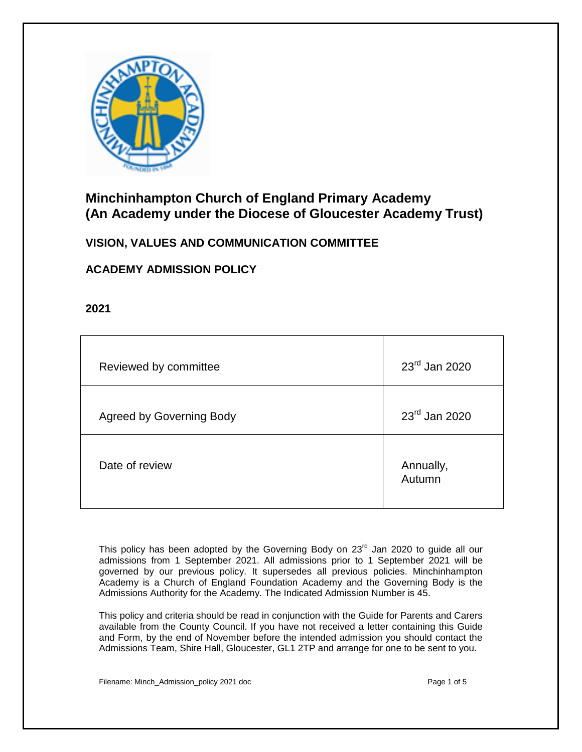

# **Minchinhampton Church of England Primary Academy (An Academy under the Diocese of Gloucester Academy Trust)**

# **VISION, VALUES AND COMMUNICATION COMMITTEE**

# **ACADEMY ADMISSION POLICY**

**2021**

| Reviewed by committee           | 23rd Jan 2020       |
|---------------------------------|---------------------|
| <b>Agreed by Governing Body</b> | 23rd Jan 2020       |
| Date of review                  | Annually,<br>Autumn |

This policy has been adopted by the Governing Body on  $23<sup>rd</sup>$  Jan 2020 to quide all our admissions from 1 September 2021. All admissions prior to 1 September 2021 will be governed by our previous policy. It supersedes all previous policies. Minchinhampton Academy is a Church of England Foundation Academy and the Governing Body is the Admissions Authority for the Academy. The Indicated Admission Number is 45.

This policy and criteria should be read in conjunction with the Guide for Parents and Carers available from the County Council. If you have not received a letter containing this Guide and Form, by the end of November before the intended admission you should contact the Admissions Team, Shire Hall, Gloucester, GL1 2TP and arrange for one to be sent to you.

Filename: Minch Admission policy 2021 doc **Page 1 of 5** and 5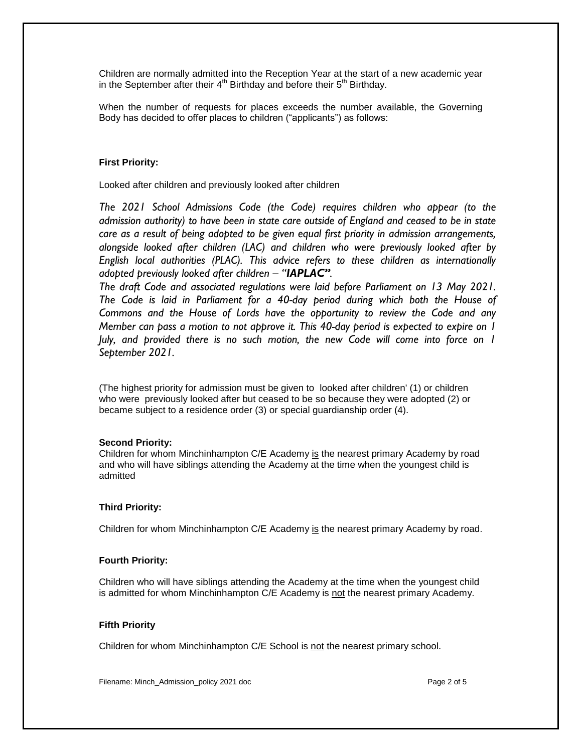Children are normally admitted into the Reception Year at the start of a new academic year in the September after their  $4<sup>th</sup>$  Birthday and before their  $5<sup>th</sup>$  Birthday.

When the number of requests for places exceeds the number available, the Governing Body has decided to offer places to children ("applicants") as follows:

## **First Priority:**

Looked after children and previously looked after children

*The 2021 School Admissions Code (the Code) requires children who appear (to the admission authority) to have been in state care outside of England and ceased to be in state care as a result of being adopted to be given equal first priority in admission arrangements, alongside looked after children (LAC) and children who were previously looked after by English local authorities (PLAC). This advice refers to these children as internationally adopted previously looked after children – "IAPLAC".*

*The draft Code and associated regulations were laid before Parliament on 13 May 2021. The Code is laid in Parliament for a 40-day period during which both the House of Commons and the House of Lords have the opportunity to review the Code and any Member can pass a motion to not approve it. This 40-day period is expected to expire on 1 July, and provided there is no such motion, the new Code will come into force on 1 September 2021.*

(The highest priority for admission must be given to looked after children' (1) or children who were previously looked after but ceased to be so because they were adopted (2) or became subject to a residence order (3) or special guardianship order (4).

### **Second Priority:**

Children for whom Minchinhampton C/E Academy is the nearest primary Academy by road and who will have siblings attending the Academy at the time when the youngest child is admitted

### **Third Priority:**

Children for whom Minchinhampton C/E Academy is the nearest primary Academy by road.

### **Fourth Priority:**

Children who will have siblings attending the Academy at the time when the youngest child is admitted for whom Minchinhampton C/E Academy is not the nearest primary Academy.

### **Fifth Priority**

Children for whom Minchinhampton C/E School is not the nearest primary school.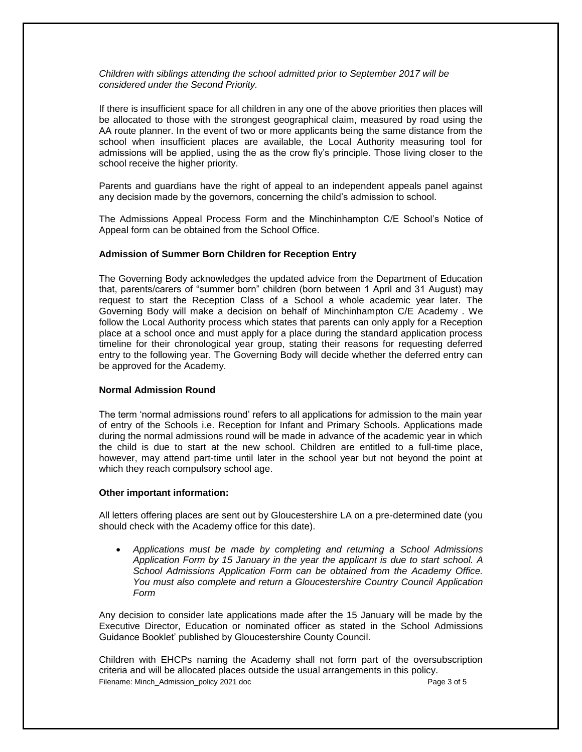### *Children with siblings attending the school admitted prior to September 2017 will be considered under the Second Priority.*

If there is insufficient space for all children in any one of the above priorities then places will be allocated to those with the strongest geographical claim, measured by road using the AA route planner. In the event of two or more applicants being the same distance from the school when insufficient places are available, the Local Authority measuring tool for admissions will be applied, using the as the crow fly's principle. Those living closer to the school receive the higher priority.

Parents and guardians have the right of appeal to an independent appeals panel against any decision made by the governors, concerning the child's admission to school.

The Admissions Appeal Process Form and the Minchinhampton C/E School's Notice of Appeal form can be obtained from the School Office.

#### **Admission of Summer Born Children for Reception Entry**

The Governing Body acknowledges the updated advice from the Department of Education that, parents/carers of "summer born" children (born between 1 April and 31 August) may request to start the Reception Class of a School a whole academic year later. The Governing Body will make a decision on behalf of Minchinhampton C/E Academy . We follow the Local Authority process which states that parents can only apply for a Reception place at a school once and must apply for a place during the standard application process timeline for their chronological year group, stating their reasons for requesting deferred entry to the following year. The Governing Body will decide whether the deferred entry can be approved for the Academy.

### **Normal Admission Round**

The term 'normal admissions round' refers to all applications for admission to the main year of entry of the Schools i.e. Reception for Infant and Primary Schools. Applications made during the normal admissions round will be made in advance of the academic year in which the child is due to start at the new school. Children are entitled to a full-time place, however, may attend part-time until later in the school year but not beyond the point at which they reach compulsory school age.

#### **Other important information:**

All letters offering places are sent out by Gloucestershire LA on a pre-determined date (you should check with the Academy office for this date).

 *Applications must be made by completing and returning a School Admissions Application Form by 15 January in the year the applicant is due to start school. A School Admissions Application Form can be obtained from the Academy Office. You must also complete and return a Gloucestershire Country Council Application Form*

Any decision to consider late applications made after the 15 January will be made by the Executive Director, Education or nominated officer as stated in the School Admissions Guidance Booklet' published by Gloucestershire County Council.

Filename: Minch\_Admission\_policy 2021 doc Page 3 of 5 Children with EHCPs naming the Academy shall not form part of the oversubscription criteria and will be allocated places outside the usual arrangements in this policy.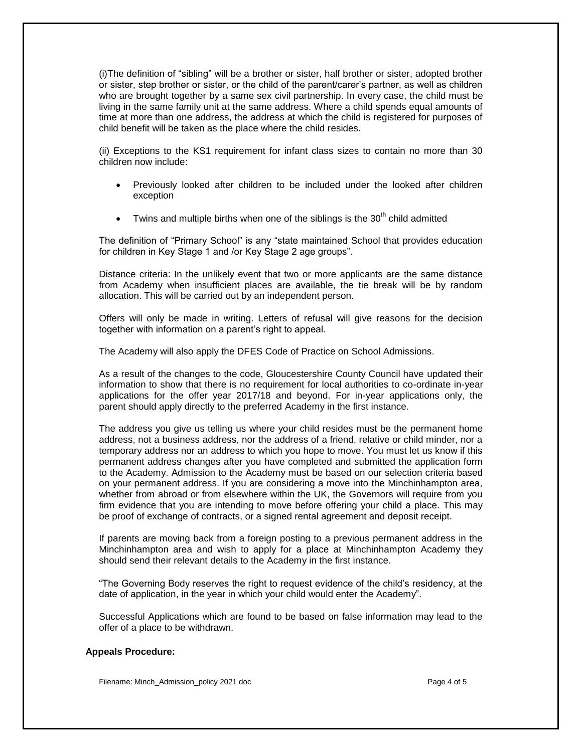(i)The definition of "sibling" will be a brother or sister, half brother or sister, adopted brother or sister, step brother or sister, or the child of the parent/carer's partner, as well as children who are brought together by a same sex civil partnership. In every case, the child must be living in the same family unit at the same address. Where a child spends equal amounts of time at more than one address, the address at which the child is registered for purposes of child benefit will be taken as the place where the child resides.

(ii) Exceptions to the KS1 requirement for infant class sizes to contain no more than 30 children now include:

- Previously looked after children to be included under the looked after children exception
- Twins and multiple births when one of the siblings is the  $30<sup>th</sup>$  child admitted

The definition of "Primary School" is any "state maintained School that provides education for children in Key Stage 1 and /or Key Stage 2 age groups".

Distance criteria: In the unlikely event that two or more applicants are the same distance from Academy when insufficient places are available, the tie break will be by random allocation. This will be carried out by an independent person.

Offers will only be made in writing. Letters of refusal will give reasons for the decision together with information on a parent's right to appeal.

The Academy will also apply the DFES Code of Practice on School Admissions.

As a result of the changes to the code, Gloucestershire County Council have updated their information to show that there is no requirement for local authorities to co-ordinate in-year applications for the offer year 2017/18 and beyond. For in-year applications only, the parent should apply directly to the preferred Academy in the first instance.

The address you give us telling us where your child resides must be the permanent home address, not a business address, nor the address of a friend, relative or child minder, nor a temporary address nor an address to which you hope to move. You must let us know if this permanent address changes after you have completed and submitted the application form to the Academy. Admission to the Academy must be based on our selection criteria based on your permanent address. If you are considering a move into the Minchinhampton area, whether from abroad or from elsewhere within the UK, the Governors will require from you firm evidence that you are intending to move before offering your child a place. This may be proof of exchange of contracts, or a signed rental agreement and deposit receipt.

If parents are moving back from a foreign posting to a previous permanent address in the Minchinhampton area and wish to apply for a place at Minchinhampton Academy they should send their relevant details to the Academy in the first instance.

"The Governing Body reserves the right to request evidence of the child's residency, at the date of application, in the year in which your child would enter the Academy".

Successful Applications which are found to be based on false information may lead to the offer of a place to be withdrawn.

### **Appeals Procedure:**

Filename: Minch Admission policy 2021 doc **Page 4 of 5** and 7 of 5